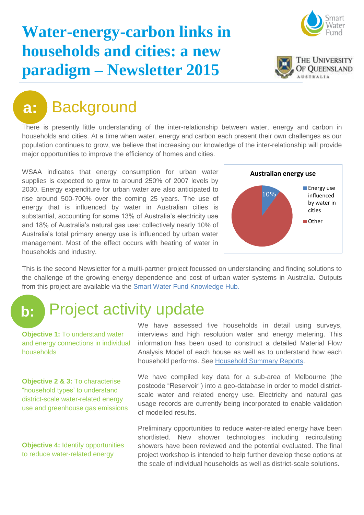## **Water-energy-carbon links in households and cities: a new paradigm – Newsletter 2015**





**Background a:**

There is presently little understanding of the inter-relationship between water, energy and carbon in households and cities. At a time when water, energy and carbon each present their own challenges as our population continues to grow, we believe that increasing our knowledge of the inter-relationship will provide major opportunities to improve the efficiency of homes and cities.

WSAA indicates that energy consumption for urban water supplies is expected to grow to around 250% of 2007 levels by 2030. Energy expenditure for urban water are also anticipated to rise around 500-700% over the coming 25 years. The use of energy that is influenced by water in Australian cities is substantial, accounting for some 13% of Australia's electricity use and 18% of Australia's natural gas use: collectively nearly 10% of Australia's total primary energy use is influenced by urban water management. Most of the effect occurs with heating of water in households and industry.



This is the second Newsletter for a multi-partner project focussed on understanding and finding solutions to the challenge of the growing energy dependence and cost of urban water systems in Australia. Outputs from this project are available via the [Smart Water Fund Knowledge Hub.](http://clearwater.asn.au/resource-library/smart-water-fund-projects/water-energy-carbon-links-in-households-and-cities-a-new-paradigm.php)

## **Project activity update**

**Objective 1:** To understand water **:** and energy connections in individual households

**b:**

**Objective 2 & 3: To characterise** "household types' to understand district-scale water-related energy use and greenhouse gas emissions

**Objective 4: Identify opportunities** to reduce water-related energy

We have assessed five households in detail using surveys, interviews and high resolution water and energy metering. This information has been used to construct a detailed Material Flow Analysis Model of each house as well as to understand how each household performs. See [Household Summary Reports.](http://clearwater.asn.au/user-data/research-projects/swf-files/summary-reports.zip)

We have compiled key data for a sub-area of Melbourne (the postcode "Reservoir") into a geo-database in order to model districtscale water and related energy use. Electricity and natural gas usage records are currently being incorporated to enable validation of modelled results.

Preliminary opportunities to reduce water-related energy have been shortlisted. New shower technologies including recirculating showers have been reviewed and the potential evaluated. The final project workshop is intended to help further develop these options at the scale of individual households as well as district-scale solutions.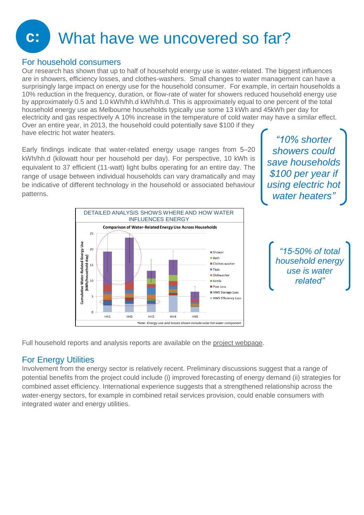# What have we uncovered so far?

#### For household consumers

**c:**

Our research has shown that up to half of household energy use is water-related. The biggest influences are in showers, efficiency losses, and clothes-washers. Small changes to water management can have a surprisingly large impact on energy use for the household consumer. For example, in certain households a 10% reduction in the frequency, duration, or flow-rate of water for showers reduced household energy use by approximately 0.5 and 1.0 kWh/hh.d kWh/hh.d. This is approximately equal to one percent of the total household energy use as Melbourne households typically use some 13 kWh and 45kWh per day for electricity and gas respectively A 10% increase in the temperature of cold water may have a similar effect. Over an entire year, in 2013, the household could potentially save \$100 if they have electric hot water heaters.

Early findings indicate that water-related energy usage ranges from 5–20 kWh/hh.d (kilowatt hour per household per day). For perspective, 10 kWh is equivalent to 37 efficient (11-watt) light bulbs operating for an entire day. The range of usage between individual households can vary dramatically and may be indicative of different technology in the household or associated behaviour patterns.



*"10% shorter showers could save households \$100 per year if using electric hot water heaters"*

> *"15-50% of total household energy use is water related"*

Full household reports and analysis reports are available on the [project webpage.](http://clearwater.asn.au/resource-library/smart-water-fund-projects/water-energy-carbon-links-in-households-and-cities-a-new-paradigm.php)

## For Energy Utilities

Involvement from the energy sector is relatively recent. Preliminary discussions suggest that a range of potential benefits from the project could include (i) improved forecasting of energy demand (ii) strategies for combined asset efficiency. International experience suggests that a strengthened relationship across the water-energy sectors, for example in combined retail services provision, could enable consumers with integrated water and energy utilities.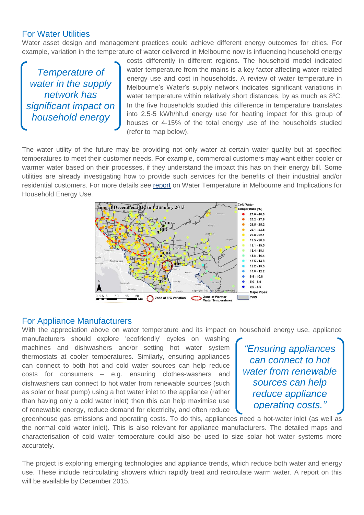#### For Water Utilities

Water asset design and management practices could achieve different energy outcomes for cities. For example, variation in the temperature of water delivered in Melbourne now is influencing household energy

*Temperature of water in the supply network has significant impact on household energy* 

costs differently in different regions. The household model indicated water temperature from the mains is a key factor affecting water-related energy use and cost in households. A review of water temperature in Melbourne's Water's supply network indicates significant variations in water temperature within relatively short distances, by as much as 8ºC. In the five households studied this difference in temperature translates into 2.5-5 kWh/hh.d energy use for heating impact for this group of houses or 4-15% of the total energy use of the households studied (refer to map below).

The water utility of the future may be providing not only water at certain water quality but at specified temperatures to meet their customer needs. For example, commercial customers may want either cooler or warmer water based on their processes, if they understand the impact this has on their energy bill. Some utilities are already investigating how to provide such services for the benefits of their industrial and/or residential customers. For more details see [report](http://clearwater.asn.au/user-data/research-projects/swf-files/9tr1--001-water-energy-carbon-links_bors_2014_water_temperature_and_implications_for_household_energy_use.pdf) on Water Temperature in Melbourne and Implications for Household Energy Use. Water Temperature (December 2012)



#### For Appliance Manufacturers

With the appreciation above on water temperature and its impact on household energy use, appliance

manufacturers should explore 'ecofriendly' cycles on washing machines and dishwashers and/or setting hot water system thermostats at cooler temperatures. Similarly, ensuring appliances can connect to both hot and cold water sources can help reduce costs for consumers – e.g. ensuring clothes-washers and dishwashers can connect to hot water from renewable sources (such as solar or heat pump) using a hot water inlet to the appliance (rather than having only a cold water inlet) then this can help maximise use of renewable energy, reduce demand for electricity, and often reduce

*"Ensuring appliances can connect to hot water from renewable sources can help reduce appliance operating costs."*

greenhouse gas emissions and operating costs. To do this, appliances need a hot-water inlet (as well as the normal cold water inlet). This is also relevant for appliance manufacturers. The detailed maps and characterisation of cold water temperature could also be used to size solar hot water systems more accurately.

The project is exploring emerging technologies and appliance trends, which reduce both water and energy use. These include recirculating showers which rapidly treat and recirculate warm water. A report on this will be available by December 2015.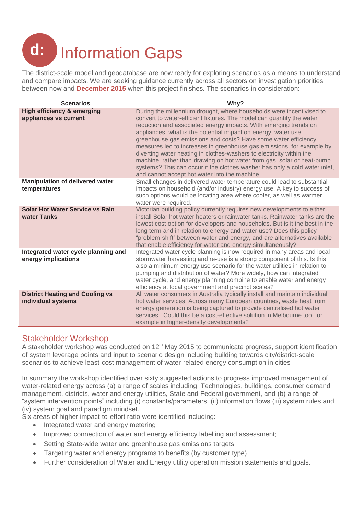# d: Information Gaps

The district-scale model and geodatabase are now ready for exploring scenarios as a means to understand and compare impacts. We are seeking guidance currently across all sectors on investigation priorities between now and **December 2015** when this project finishes. The scenarios in consideration:

| <b>Scenarios</b>                                               | Why?                                                                                                                                                                                                                                                                                                                                                                                                                                                                                                                                                                                                                                                                                                            |
|----------------------------------------------------------------|-----------------------------------------------------------------------------------------------------------------------------------------------------------------------------------------------------------------------------------------------------------------------------------------------------------------------------------------------------------------------------------------------------------------------------------------------------------------------------------------------------------------------------------------------------------------------------------------------------------------------------------------------------------------------------------------------------------------|
| <b>High efficiency &amp; emerging</b><br>appliances vs current | During the millennium drought, where households were incentivised to<br>convert to water-efficient fixtures. The model can quantify the water<br>reduction and associated energy impacts. With emerging trends on<br>appliances, what is the potential impact on energy, water use,<br>greenhouse gas emissions and costs? Have some water efficiency<br>measures led to increases in greenhouse gas emissions, for example by<br>diverting water heating in clothes-washers to electricity within the<br>machine, rather than drawing on hot water from gas, solar or heat-pump<br>systems? This can occur if the clothes washer has only a cold water inlet,<br>and cannot accept hot water into the machine. |
| <b>Manipulation of delivered water</b><br>temperatures         | Small changes in delivered water temperature could lead to substantial<br>impacts on household (and/or industry) energy use. A key to success of<br>such options would be locating area where cooler, as well as warmer<br>water were required.                                                                                                                                                                                                                                                                                                                                                                                                                                                                 |
| <b>Solar Hot Water Service vs Rain</b><br>water Tanks          | Victorian building policy currently requires new developments to either<br>install Solar hot water heaters or rainwater tanks. Rainwater tanks are the<br>lowest cost option for developers and households. But is it the best in the<br>long term and in relation to energy and water use? Does this policy<br>"problem-shift" between water and energy, and are alternatives available<br>that enable efficiency for water and energy simultaneously?                                                                                                                                                                                                                                                         |
| Integrated water cycle planning and<br>energy implications     | Integrated water cycle planning is now required in many areas and local<br>stormwater harvesting and re-use is a strong component of this. Is this<br>also a minimum energy use scenario for the water utilities in relation to<br>pumping and distribution of water? More widely, how can integrated<br>water cycle, and energy planning combine to enable water and energy<br>efficiency at local government and precinct scales?                                                                                                                                                                                                                                                                             |
| <b>District Heating and Cooling vs</b><br>individual systems   | All water consumers in Australia typically install and maintain individual<br>hot water services. Across many European countries, waste heat from<br>energy generation is being captured to provide centralised hot water<br>services. Could this be a cost-effective solution in Melbourne too, for<br>example in higher-density developments?                                                                                                                                                                                                                                                                                                                                                                 |

## Stakeholder Workshop

A stakeholder workshop was conducted on 12<sup>th</sup> May 2015 to communicate progress, support identification of system leverage points and input to scenario design including building towards city/district-scale scenarios to achieve least-cost management of water-related energy consumption in cities

In summary the workshop identified over sixty suggested actions to progress improved management of water-related energy across (a) a range of scales including: Technologies, buildings, consumer demand management, districts, water and energy utilities, State and Federal government, and (b) a range of "system intervention points" including (i) constants/parameters, (ii) information flows (iii) system rules and (iv) system goal and paradigm mindset.

Six areas of higher impact-to-effort ratio were identified including:

- Integrated water and energy metering
- Improved connection of water and energy efficiency labelling and assessment;
- Setting State-wide water and greenhouse gas emissions targets.
- Targeting water and energy programs to benefits (by customer type)
- Further consideration of Water and Energy utility operation mission statements and goals.